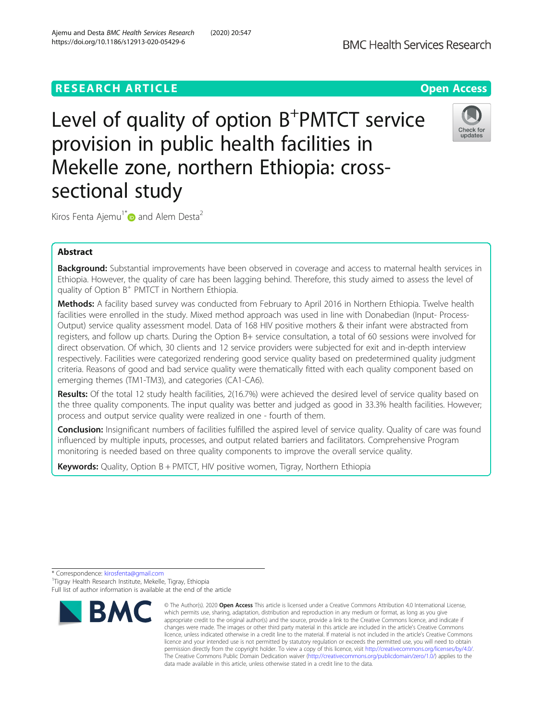# **RESEARCH ARTICLE Example 2018 12:30 The Contract of Contract Contract Contract Contract Contract Contract Contract Contract Contract Contract Contract Contract Contract Contract Contract Contract Contract Contract Contr**

Level of quality of option B<sup>+</sup>PMTCT service provision in public health facilities in Mekelle zone, northern Ethiopia: crosssectional study

Kiros Fenta Ajemu<sup>1\*</sup> and Alem Desta<sup>2</sup>

# Abstract

Background: Substantial improvements have been observed in coverage and access to maternal health services in Ethiopia. However, the quality of care has been lagging behind. Therefore, this study aimed to assess the level of quality of Option  $B^+$  PMTCT in Northern Ethiopia.

Methods: A facility based survey was conducted from February to April 2016 in Northern Ethiopia. Twelve health facilities were enrolled in the study. Mixed method approach was used in line with Donabedian (Input- Process-Output) service quality assessment model. Data of 168 HIV positive mothers & their infant were abstracted from registers, and follow up charts. During the Option B+ service consultation, a total of 60 sessions were involved for direct observation. Of which, 30 clients and 12 service providers were subjected for exit and in-depth interview respectively. Facilities were categorized rendering good service quality based on predetermined quality judgment criteria. Reasons of good and bad service quality were thematically fitted with each quality component based on emerging themes (TM1-TM3), and categories (CA1-CA6).

Results: Of the total 12 study health facilities, 2(16.7%) were achieved the desired level of service quality based on the three quality components. The input quality was better and judged as good in 33.3% health facilities. However; process and output service quality were realized in one - fourth of them.

**Conclusion:** Insignificant numbers of facilities fulfilled the aspired level of service quality. Quality of care was found influenced by multiple inputs, processes, and output related barriers and facilitators. Comprehensive Program monitoring is needed based on three quality components to improve the overall service quality.

**Keywords:** Quality, Option  $B + PMTCT$ , HIV positive women, Tigray, Northern Ethiopia



Full list of author information is available at the end of the article





<sup>\*</sup> Correspondence: [kirosfenta@gmail.com](mailto:kirosfenta@gmail.com) <sup>1</sup> <sup>1</sup>Tigray Health Research Institute, Mekelle, Tigray, Ethiopia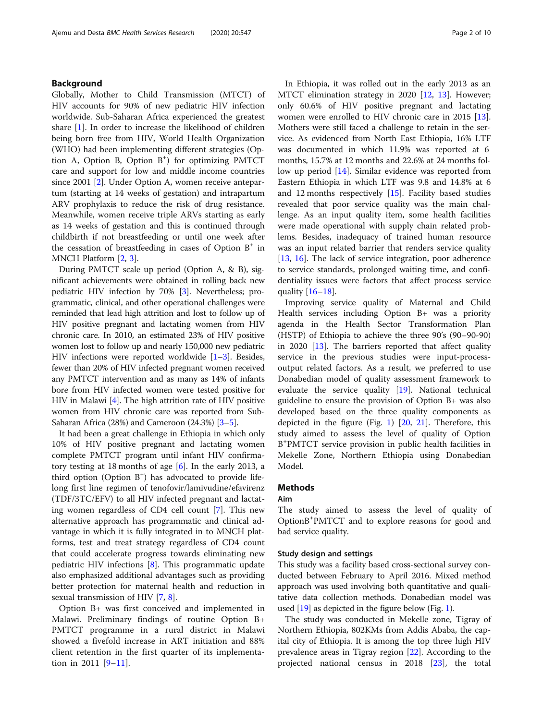# Background

Globally, Mother to Child Transmission (MTCT) of HIV accounts for 90% of new pediatric HIV infection worldwide. Sub-Saharan Africa experienced the greatest share [[1\]](#page-8-0). In order to increase the likelihood of children being born free from HIV, World Health Organization (WHO) had been implementing different strategies (Option A, Option B, Option B<sup>+</sup>) for optimizing PMTCT care and support for low and middle income countries since 2001 [[2\]](#page-8-0). Under Option A, women receive antepartum (starting at 14 weeks of gestation) and intrapartum ARV prophylaxis to reduce the risk of drug resistance. Meanwhile, women receive triple ARVs starting as early as 14 weeks of gestation and this is continued through childbirth if not breastfeeding or until one week after the cessation of breastfeeding in cases of Option  $B^+$  in MNCH Platform [\[2,](#page-8-0) [3\]](#page-8-0).

During PMTCT scale up period (Option A, & B), significant achievements were obtained in rolling back new pediatric HIV infection by 70% [[3](#page-8-0)]. Nevertheless; programmatic, clinical, and other operational challenges were reminded that lead high attrition and lost to follow up of HIV positive pregnant and lactating women from HIV chronic care. In 2010, an estimated 23% of HIV positive women lost to follow up and nearly 150,000 new pediatric HIV infections were reported worldwide  $[1-3]$  $[1-3]$  $[1-3]$  $[1-3]$  $[1-3]$ . Besides, fewer than 20% of HIV infected pregnant women received any PMTCT intervention and as many as 14% of infants bore from HIV infected women were tested positive for HIV in Malawi [\[4\]](#page-9-0). The high attrition rate of HIV positive women from HIV chronic care was reported from Sub-Saharan Africa (28%) and Cameroon (24.3%) [[3](#page-8-0)–[5](#page-9-0)].

It had been a great challenge in Ethiopia in which only 10% of HIV positive pregnant and lactating women complete PMTCT program until infant HIV confirmatory testing at 18 months of age [[6\]](#page-9-0). In the early 2013, a third option (Option B<sup>+</sup>) has advocated to provide lifelong first line regimen of tenofovir/lamivudine/efavirenz (TDF/3TC/EFV) to all HIV infected pregnant and lactating women regardless of CD4 cell count [[7\]](#page-9-0). This new alternative approach has programmatic and clinical advantage in which it is fully integrated in to MNCH platforms, test and treat strategy regardless of CD4 count that could accelerate progress towards eliminating new pediatric HIV infections [[8\]](#page-9-0). This programmatic update also emphasized additional advantages such as providing better protection for maternal health and reduction in sexual transmission of HIV [\[7](#page-9-0), [8](#page-9-0)].

Option B+ was first conceived and implemented in Malawi. Preliminary findings of routine Option B+ PMTCT programme in a rural district in Malawi showed a fivefold increase in ART initiation and 88% client retention in the first quarter of its implementa-tion in 20[11](#page-9-0)  $[9-11]$  $[9-11]$  $[9-11]$ .

In Ethiopia, it was rolled out in the early 2013 as an MTCT elimination strategy in 2020 [\[12,](#page-9-0) [13](#page-9-0)]. However; only 60.6% of HIV positive pregnant and lactating women were enrolled to HIV chronic care in 2015 [\[13](#page-9-0)]. Mothers were still faced a challenge to retain in the service. As evidenced from North East Ethiopia, 16% LTF was documented in which 11.9% was reported at 6 months, 15.7% at 12 months and 22.6% at 24 months follow up period [\[14](#page-9-0)]. Similar evidence was reported from Eastern Ethiopia in which LTF was 9.8 and 14.8% at 6 and 12 months respectively [\[15\]](#page-9-0). Facility based studies revealed that poor service quality was the main challenge. As an input quality item, some health facilities were made operational with supply chain related problems. Besides, inadequacy of trained human resource was an input related barrier that renders service quality [[13,](#page-9-0) [16](#page-9-0)]. The lack of service integration, poor adherence to service standards, prolonged waiting time, and confidentiality issues were factors that affect process service quality [\[16](#page-9-0)–[18](#page-9-0)].

Improving service quality of Maternal and Child Health services including Option B+ was a priority agenda in the Health Sector Transformation Plan (HSTP) of Ethiopia to achieve the three 90's (90–90-90) in 2020 [\[13](#page-9-0)]. The barriers reported that affect quality service in the previous studies were input-processoutput related factors. As a result, we preferred to use Donabedian model of quality assessment framework to evaluate the service quality [[19](#page-9-0)]. National technical guideline to ensure the provision of Option B+ was also developed based on the three quality components as depicted in the figure (Fig. [1](#page-2-0)) [\[20](#page-9-0), [21\]](#page-9-0). Therefore, this study aimed to assess the level of quality of Option B+ PMTCT service provision in public health facilities in Mekelle Zone, Northern Ethiopia using Donabedian Model.

# Methods

# Aim

The study aimed to assess the level of quality of OptionB<sup>+</sup> PMTCT and to explore reasons for good and bad service quality.

#### Study design and settings

This study was a facility based cross-sectional survey conducted between February to April 2016. Mixed method approach was used involving both quantitative and qualitative data collection methods. Donabedian model was used [[19](#page-9-0)] as depicted in the figure below (Fig. [1\)](#page-2-0).

The study was conducted in Mekelle zone, Tigray of Northern Ethiopia, 802KMs from Addis Ababa, the capital city of Ethiopia. It is among the top three high HIV prevalence areas in Tigray region [\[22](#page-9-0)]. According to the projected national census in 2018 [\[23](#page-9-0)], the total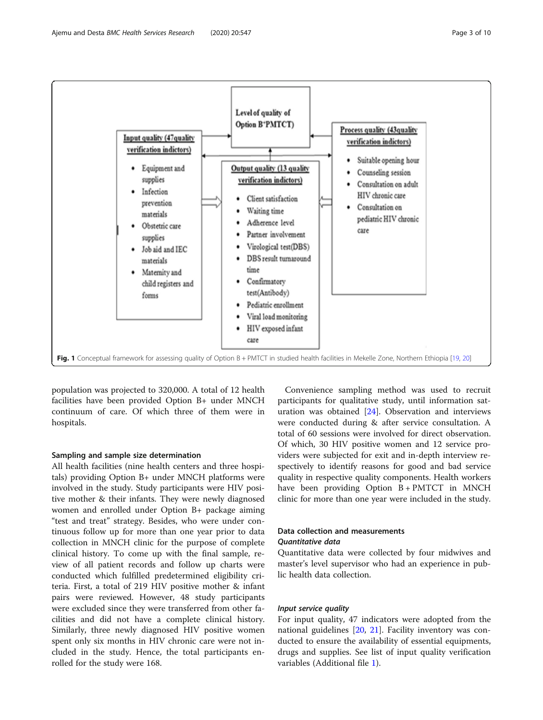<span id="page-2-0"></span>

population was projected to 320,000. A total of 12 health facilities have been provided Option B+ under MNCH continuum of care. Of which three of them were in hospitals.

# Sampling and sample size determination

All health facilities (nine health centers and three hospitals) providing Option B+ under MNCH platforms were involved in the study. Study participants were HIV positive mother & their infants. They were newly diagnosed women and enrolled under Option B+ package aiming "test and treat" strategy. Besides, who were under continuous follow up for more than one year prior to data collection in MNCH clinic for the purpose of complete clinical history. To come up with the final sample, review of all patient records and follow up charts were conducted which fulfilled predetermined eligibility criteria. First, a total of 219 HIV positive mother & infant pairs were reviewed. However, 48 study participants were excluded since they were transferred from other facilities and did not have a complete clinical history. Similarly, three newly diagnosed HIV positive women spent only six months in HIV chronic care were not included in the study. Hence, the total participants enrolled for the study were 168.

Convenience sampling method was used to recruit participants for qualitative study, until information saturation was obtained [[24](#page-9-0)]. Observation and interviews were conducted during & after service consultation. A total of 60 sessions were involved for direct observation. Of which, 30 HIV positive women and 12 service providers were subjected for exit and in-depth interview respectively to identify reasons for good and bad service quality in respective quality components. Health workers have been providing Option B + PMTCT in MNCH clinic for more than one year were included in the study.

# Data collection and measurements Quantitative data

Quantitative data were collected by four midwives and master's level supervisor who had an experience in public health data collection.

# Input service quality

For input quality, 47 indicators were adopted from the national guidelines [[20,](#page-9-0) [21\]](#page-9-0). Facility inventory was conducted to ensure the availability of essential equipments, drugs and supplies. See list of input quality verification variables (Additional file [1\)](#page-8-0).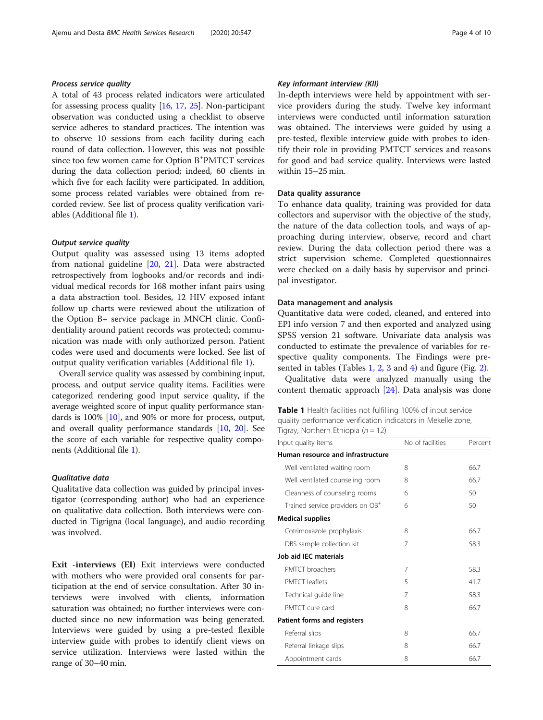# <span id="page-3-0"></span>Process service quality

A total of 43 process related indicators were articulated for assessing process quality [[16](#page-9-0), [17](#page-9-0), [25](#page-9-0)]. Non-participant observation was conducted using a checklist to observe service adheres to standard practices. The intention was to observe 10 sessions from each facility during each round of data collection. However, this was not possible since too few women came for Option B<sup>+</sup>PMTCT services during the data collection period; indeed, 60 clients in which five for each facility were participated. In addition, some process related variables were obtained from recorded review. See list of process quality verification variables (Additional file [1\)](#page-8-0).

# Output service quality

Output quality was assessed using 13 items adopted from national guideline [\[20,](#page-9-0) [21\]](#page-9-0). Data were abstracted retrospectively from logbooks and/or records and individual medical records for 168 mother infant pairs using a data abstraction tool. Besides, 12 HIV exposed infant follow up charts were reviewed about the utilization of the Option B+ service package in MNCH clinic. Confidentiality around patient records was protected; communication was made with only authorized person. Patient codes were used and documents were locked. See list of output quality verification variables (Additional file [1\)](#page-8-0).

Overall service quality was assessed by combining input, process, and output service quality items. Facilities were categorized rendering good input service quality, if the average weighted score of input quality performance standards is 100% [\[10\]](#page-9-0), and 90% or more for process, output, and overall quality performance standards [[10,](#page-9-0) [20](#page-9-0)]. See the score of each variable for respective quality components (Additional file [1\)](#page-8-0).

# Qualitative data

Qualitative data collection was guided by principal investigator (corresponding author) who had an experience on qualitative data collection. Both interviews were conducted in Tigrigna (local language), and audio recording was involved.

Exit -interviews (EI) Exit interviews were conducted with mothers who were provided oral consents for participation at the end of service consultation. After 30 interviews were involved with clients, information saturation was obtained; no further interviews were conducted since no new information was being generated. Interviews were guided by using a pre-tested flexible interview guide with probes to identify client views on service utilization. Interviews were lasted within the range of 30–40 min.

# Key informant interview (KII)

In-depth interviews were held by appointment with service providers during the study. Twelve key informant interviews were conducted until information saturation was obtained. The interviews were guided by using a pre-tested, flexible interview guide with probes to identify their role in providing PMTCT services and reasons for good and bad service quality. Interviews were lasted within 15–25 min.

# Data quality assurance

To enhance data quality, training was provided for data collectors and supervisor with the objective of the study, the nature of the data collection tools, and ways of approaching during interview, observe, record and chart review. During the data collection period there was a strict supervision scheme. Completed questionnaires were checked on a daily basis by supervisor and principal investigator.

# Data management and analysis

Quantitative data were coded, cleaned, and entered into EPI info version 7 and then exported and analyzed using SPSS version 21 software. Univariate data analysis was conducted to estimate the prevalence of variables for respective quality components. The Findings were presented in tables (Tables 1, [2](#page-4-0), [3](#page-4-0) and [4\)](#page-5-0) and figure (Fig. [2](#page-5-0)).

Qualitative data were analyzed manually using the content thematic approach [\[24](#page-9-0)]. Data analysis was done

| Table 1 Health facilities not fulfilling 100% of input service |  |
|----------------------------------------------------------------|--|
| quality performance verification indicators in Mekelle zone,   |  |
| Tigray, Northern Ethiopia ( $n = 12$ )                         |  |

| Input quality items                          | No of facilities | Percent |  |  |  |
|----------------------------------------------|------------------|---------|--|--|--|
| Human resource and infrastructure            |                  |         |  |  |  |
| Well ventilated waiting room                 | 8                | 66.7    |  |  |  |
| Well ventilated counseling room              | 8                | 66.7    |  |  |  |
| Cleanness of counseling rooms                | 6                | 50      |  |  |  |
| Trained service providers on OB <sup>+</sup> | 6                | 50      |  |  |  |
| <b>Medical supplies</b>                      |                  |         |  |  |  |
| Cotrimoxazole prophylaxis                    | 8                | 66.7    |  |  |  |
| DBS sample collection kit                    | 7                | 58.3    |  |  |  |
| Job aid IEC materials                        |                  |         |  |  |  |
| PMTCT broachers                              | 7                | 58.3    |  |  |  |
| <b>PMTCT</b> leaflets                        | 5                | 41.7    |  |  |  |
| Technical guide line                         | 7                | 58.3    |  |  |  |
| PMTCT cure card                              | 8                | 66.7    |  |  |  |
| Patient forms and registers                  |                  |         |  |  |  |
| Referral slips                               | 8                | 66.7    |  |  |  |
| Referral linkage slips                       | 8                | 66.7    |  |  |  |
| Appointment cards                            | 8                | 66.7    |  |  |  |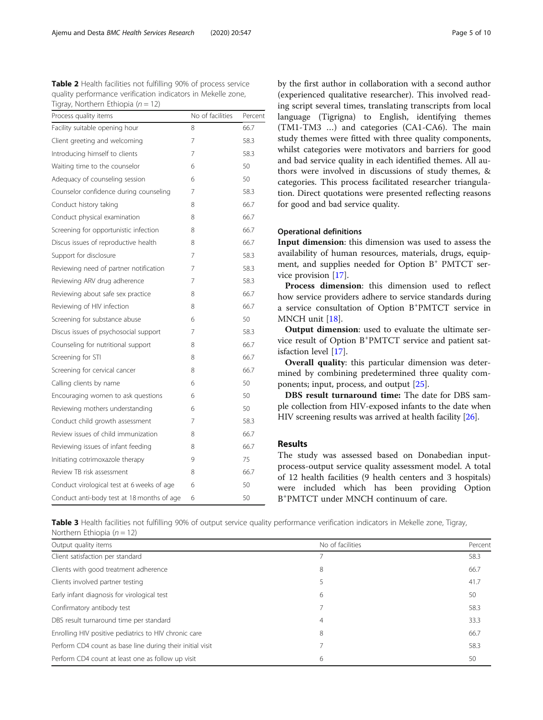<span id="page-4-0"></span>Table 2 Health facilities not fulfilling 90% of process service quality performance verification indicators in Mekelle zone, Tigray, Northern Ethiopia ( $n = 12$ )

| Process quality items                      | No of facilities | Percent |
|--------------------------------------------|------------------|---------|
| Facility suitable opening hour             | 8                | 66.7    |
| Client greeting and welcoming              | 7                | 58.3    |
| Introducing himself to clients             | 7                | 58.3    |
| Waiting time to the counselor              | 6                | 50      |
| Adequacy of counseling session             | 6                | 50      |
| Counselor confidence during counseling     | 7                | 58.3    |
| Conduct history taking                     | 8                | 66.7    |
| Conduct physical examination               | 8                | 66.7    |
| Screening for opportunistic infection      | 8                | 66.7    |
| Discus issues of reproductive health       | 8                | 66.7    |
| Support for disclosure                     | 7                | 58.3    |
| Reviewing need of partner notification     | 7                | 58.3    |
| Reviewing ARV drug adherence               | 7                | 58.3    |
| Reviewing about safe sex practice          | 8                | 66.7    |
| Reviewing of HIV infection                 | 8                | 66.7    |
| Screening for substance abuse              | 6                | 50      |
| Discus issues of psychosocial support      | 7                | 58.3    |
| Counseling for nutritional support         | 8                | 66.7    |
| Screening for STI                          | 8                | 66.7    |
| Screening for cervical cancer              | 8                | 66.7    |
| Calling clients by name                    | 6                | 50      |
| Encouraging women to ask questions         | 6                | 50      |
| Reviewing mothers understanding            | 6                | 50      |
| Conduct child growth assessment            | 7                | 58.3    |
| Review issues of child immunization        | 8                | 66.7    |
| Reviewing issues of infant feeding         | 8                | 66.7    |
| Initiating cotrimoxazole therapy           | 9                | 75      |
| Review TB risk assessment                  | 8                | 66.7    |
| Conduct virological test at 6 weeks of age | 6                | 50      |
| Conduct anti-body test at 18 months of age | 6                | 50      |

by the first author in collaboration with a second author (experienced qualitative researcher). This involved reading script several times, translating transcripts from local language (Tigrigna) to English, identifying themes (TM1-TM3 …) and categories (CA1-CA6). The main study themes were fitted with three quality components, whilst categories were motivators and barriers for good and bad service quality in each identified themes. All authors were involved in discussions of study themes, & categories. This process facilitated researcher triangulation. Direct quotations were presented reflecting reasons for good and bad service quality.

# Operational definitions

Input dimension: this dimension was used to assess the availability of human resources, materials, drugs, equipment, and supplies needed for Option B<sup>+</sup> PMTCT service provision [[17](#page-9-0)].

Process dimension: this dimension used to reflect how service providers adhere to service standards during a service consultation of Option B<sup>+</sup> PMTCT service in MNCH unit [\[18\]](#page-9-0).

Output dimension: used to evaluate the ultimate service result of Option B<sup>+</sup>PMTCT service and patient satisfaction level [\[17](#page-9-0)].

Overall quality: this particular dimension was determined by combining predetermined three quality components; input, process, and output [[25\]](#page-9-0).

DBS result turnaround time: The date for DBS sample collection from HIV-exposed infants to the date when HIV screening results was arrived at health facility [\[26\]](#page-9-0).

# Results

The study was assessed based on Donabedian inputprocess-output service quality assessment model. A total of 12 health facilities (9 health centers and 3 hospitals) were included which has been providing Option B+ PMTCT under MNCH continuum of care.

Table 3 Health facilities not fulfilling 90% of output service quality performance verification indicators in Mekelle zone, Tigray, Northern Ethiopia ( $n = 12$ )

| Output quality items                                      | No of facilities | Percent |
|-----------------------------------------------------------|------------------|---------|
| Client satisfaction per standard                          |                  | 58.3    |
| Clients with good treatment adherence                     | 8                | 66.7    |
| Clients involved partner testing                          |                  | 41.7    |
| Early infant diagnosis for virological test               | 6                | 50      |
| Confirmatory antibody test                                |                  | 58.3    |
| DBS result turnaround time per standard                   | 4                | 33.3    |
| Enrolling HIV positive pediatrics to HIV chronic care     | 8                | 66.7    |
| Perform CD4 count as base line during their initial visit |                  | 58.3    |
| Perform CD4 count at least one as follow up visit         | 6                | 50      |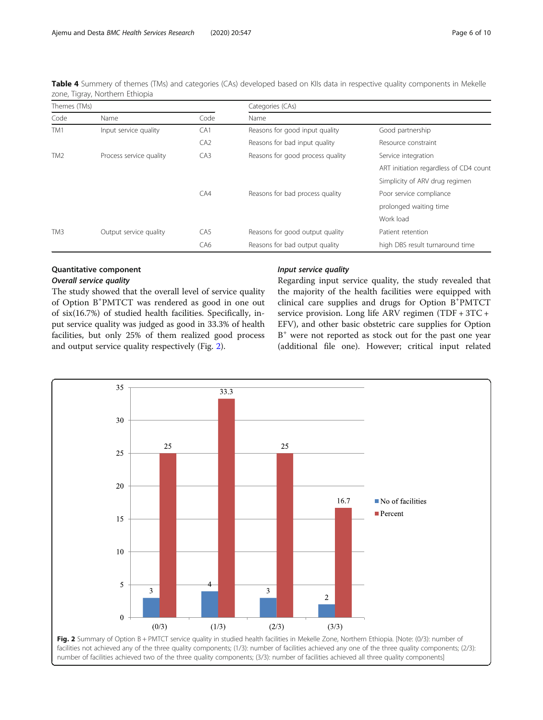<span id="page-5-0"></span>Table 4 Summery of themes (TMs) and categories (CAs) developed based on KIIs data in respective quality components in Mekelle zone, Tigray, Northern Ethiopia

| Themes (TMs)    |                         | Categories (CAs) |                                  |                                        |
|-----------------|-------------------------|------------------|----------------------------------|----------------------------------------|
| Code            | Name                    | Code             | Name                             |                                        |
| TM1             | Input service quality   | CA <sub>1</sub>  | Reasons for good input quality   | Good partnership                       |
|                 |                         | CA2              | Reasons for bad input quality    | Resource constraint                    |
| TM <sub>2</sub> | Process service quality | CA <sub>3</sub>  | Reasons for good process quality | Service integration                    |
|                 |                         |                  |                                  | ART initiation regardless of CD4 count |
|                 |                         |                  |                                  | Simplicity of ARV drug regimen         |
|                 |                         | CA4              | Reasons for bad process quality  | Poor service compliance                |
|                 |                         |                  |                                  | prolonged waiting time                 |
|                 |                         |                  |                                  | Work load                              |
| TM3             | Output service quality  | CA <sub>5</sub>  | Reasons for good output quality  | Patient retention                      |
|                 |                         | CA6              | Reasons for bad output quality   | high DBS result turnaround time        |

# Quantitative component

# Overall service quality

The study showed that the overall level of service quality of Option B<sup>+</sup> PMTCT was rendered as good in one out of six(16.7%) of studied health facilities. Specifically, input service quality was judged as good in 33.3% of health facilities, but only 25% of them realized good process and output service quality respectively (Fig. 2).

# Input service quality

Regarding input service quality, the study revealed that the majority of the health facilities were equipped with clinical care supplies and drugs for Option B<sup>+</sup> PMTCT service provision. Long life ARV regimen (TDF + 3TC + EFV), and other basic obstetric care supplies for Option  $B^+$  were not reported as stock out for the past one year (additional file one). However; critical input related

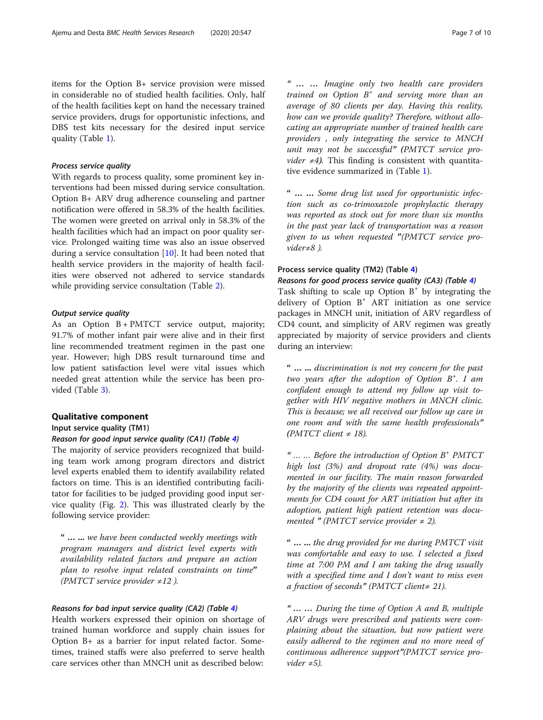items for the Option B+ service provision were missed in considerable no of studied health facilities. Only, half of the health facilities kept on hand the necessary trained service providers, drugs for opportunistic infections, and DBS test kits necessary for the desired input service quality (Table [1](#page-3-0)).

# Process service quality

With regards to process quality, some prominent key interventions had been missed during service consultation. Option B+ ARV drug adherence counseling and partner notification were offered in 58.3% of the health facilities. The women were greeted on arrival only in 58.3% of the health facilities which had an impact on poor quality service. Prolonged waiting time was also an issue observed during a service consultation [[10\]](#page-9-0). It had been noted that health service providers in the majority of health facilities were observed not adhered to service standards while providing service consultation (Table [2](#page-4-0)).

# Output service quality

As an Option  $B + PMTCT$  service output, majority; 91.7% of mother infant pair were alive and in their first line recommended treatment regimen in the past one year. However; high DBS result turnaround time and low patient satisfaction level were vital issues which needed great attention while the service has been provided (Table [3\)](#page-4-0).

# Qualitative component

## Input service quality (TM1)

# Reason for good input service quality (CA1) (Table [4](#page-5-0))

The majority of service providers recognized that building team work among program directors and district level experts enabled them to identify availability related factors on time. This is an identified contributing facilitator for facilities to be judged providing good input service quality (Fig. [2\)](#page-5-0). This was illustrated clearly by the following service provider:

" … ... we have been conducted weekly meetings with program managers and district level experts with availability related factors and prepare an action plan to resolve input related constraints on time" (PMTCT service provider  $\neq$ 12).

# Reasons for bad input service quality (CA2) (Table [4](#page-5-0))

Health workers expressed their opinion on shortage of trained human workforce and supply chain issues for Option B+ as a barrier for input related factor. Sometimes, trained staffs were also preferred to serve health care services other than MNCH unit as described below:

"…… Imagine only two health care providers trained on Option  $B^+$  and serving more than an average of 80 clients per day. Having this reality, how can we provide quality? Therefore, without allocating an appropriate number of trained health care providers , only integrating the service to MNCH unit may not be successful" (PMTCT service pro*vider*  $\neq$ 4). This finding is consistent with quantitative evidence summarized in (Table [1](#page-3-0)).

"…… Some drug list used for opportunistic infection such as co-trimoxazole prophylactic therapy was reported as stock out for more than six months in the past year lack of transportation was a reason given to us when requested "(PMTCT service provider≠8 ).

# Process service quality (TM2) (Table [4\)](#page-5-0)

Reasons for good process service quality (CA3) (Table [4\)](#page-5-0)

Task shifting to scale up Option  $B^+$  by integrating the delivery of Option B<sup>+</sup> ART initiation as one service packages in MNCH unit, initiation of ARV regardless of CD4 count, and simplicity of ARV regimen was greatly appreciated by majority of service providers and clients during an interview:

" … ... discrimination is not my concern for the past two years after the adoption of Option  $B^+$ . I am confident enough to attend my follow up visit together with HIV negative mothers in MNCH clinic. This is because; we all received our follow up care in one room and with the same health professionals" (PMTCT client  $\neq$  18).

"  $\ldots$   $\ldots$  Before the introduction of Option  $B^+$  PMTCT high lost (3%) and dropout rate (4%) was documented in our facility. The main reason forwarded by the majority of the clients was repeated appointments for CD4 count for ART initiation but after its adoption, patient high patient retention was documented " (PMTCT service provider  $\neq$  2).

" … ... the drug provided for me during PMTCT visit was comfortable and easy to use. I selected a fixed time at 7:00 PM and I am taking the drug usually with a specified time and I don't want to miss even a fraction of seconds" (PMTCT client≠ 21).

"…… During the time of Option A and B, multiple ARV drugs were prescribed and patients were complaining about the situation, but now patient were easily adhered to the regimen and no more need of continuous adherence support"(PMTCT service provider  $\neq 5$ ).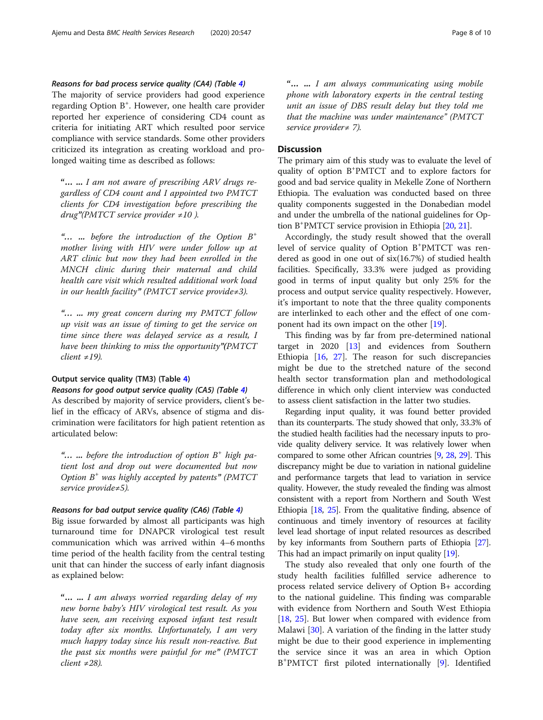# Reasons for bad process service quality (CA4) (Table [4\)](#page-5-0)

The majority of service providers had good experience regarding Option B<sup>+</sup>. However, one health care provider reported her experience of considering CD4 count as criteria for initiating ART which resulted poor service compliance with service standards. Some other providers criticized its integration as creating workload and prolonged waiting time as described as follows:

"… ... I am not aware of prescribing ARV drugs regardless of CD4 count and I appointed two PMTCT clients for CD4 investigation before prescribing the  $drug''(PMTCT$  service provider  $\neq 10$ ).

"... ... before the introduction of the Option  $B^+$ mother living with HIV were under follow up at ART clinic but now they had been enrolled in the MNCH clinic during their maternal and child health care visit which resulted additional work load in our health facility" (PMTCT service provide≠3).

"… ... my great concern during my PMTCT follow up visit was an issue of timing to get the service on time since there was delayed service as a result, I have been thinking to miss the opportunity"(PMTCT  $client \neq 19$ ).

# Output service quality (TM3) (Table [4\)](#page-5-0)

Reasons for good output service quality (CA5) (Table [4\)](#page-5-0)

As described by majority of service providers, client's belief in the efficacy of ARVs, absence of stigma and discrimination were facilitators for high patient retention as articulated below:

"... ... before the introduction of option  $B^+$  high patient lost and drop out were documented but now Option  $B^+$  was highly accepted by patents" (PMTCT) service provide≠5).

## Reasons for bad output service quality (CA6) (Table [4\)](#page-5-0)

Big issue forwarded by almost all participants was high turnaround time for DNAPCR virological test result communication which was arrived within 4–6 months time period of the health facility from the central testing unit that can hinder the success of early infant diagnosis as explained below:

"… ... I am always worried regarding delay of my new borne baby's HIV virological test result. As you have seen, am receiving exposed infant test result today after six months. Unfortunately, I am very much happy today since his result non-reactive. But the past six months were painful for me" (PMTCT  $client \neq 28$ ).

"… ... I am always communicating using mobile phone with laboratory experts in the central testing unit an issue of DBS result delay but they told me that the machine was under maintenance" (PMTCT service provider≠ 7).

# **Discussion**

The primary aim of this study was to evaluate the level of quality of option B+ PMTCT and to explore factors for good and bad service quality in Mekelle Zone of Northern Ethiopia. The evaluation was conducted based on three quality components suggested in the Donabedian model and under the umbrella of the national guidelines for Option B+ PMTCT service provision in Ethiopia [[20](#page-9-0), [21\]](#page-9-0).

Accordingly, the study result showed that the overall level of service quality of Option B<sup>+</sup>PMTCT was rendered as good in one out of six(16.7%) of studied health facilities. Specifically, 33.3% were judged as providing good in terms of input quality but only 25% for the process and output service quality respectively. However, it's important to note that the three quality components are interlinked to each other and the effect of one component had its own impact on the other [[19\]](#page-9-0).

This finding was by far from pre-determined national target in  $2020$  [[13](#page-9-0)] and evidences from Southern Ethiopia  $[16, 27]$  $[16, 27]$  $[16, 27]$  $[16, 27]$ . The reason for such discrepancies might be due to the stretched nature of the second health sector transformation plan and methodological difference in which only client interview was conducted to assess client satisfaction in the latter two studies.

Regarding input quality, it was found better provided than its counterparts. The study showed that only, 33.3% of the studied health facilities had the necessary inputs to provide quality delivery service. It was relatively lower when compared to some other African countries [\[9](#page-9-0), [28,](#page-9-0) [29\]](#page-9-0). This discrepancy might be due to variation in national guideline and performance targets that lead to variation in service quality. However, the study revealed the finding was almost consistent with a report from Northern and South West Ethiopia [\[18](#page-9-0), [25\]](#page-9-0). From the qualitative finding, absence of continuous and timely inventory of resources at facility level lead shortage of input related resources as described by key informants from Southern parts of Ethiopia [\[27](#page-9-0)]. This had an impact primarily on input quality [[19](#page-9-0)].

The study also revealed that only one fourth of the study health facilities fulfilled service adherence to process related service delivery of Option B+ according to the national guideline. This finding was comparable with evidence from Northern and South West Ethiopia [[18,](#page-9-0) [25\]](#page-9-0). But lower when compared with evidence from Malawi [[30](#page-9-0)]. A variation of the finding in the latter study might be due to their good experience in implementing the service since it was an area in which Option B+ PMTCT first piloted internationally [[9\]](#page-9-0). Identified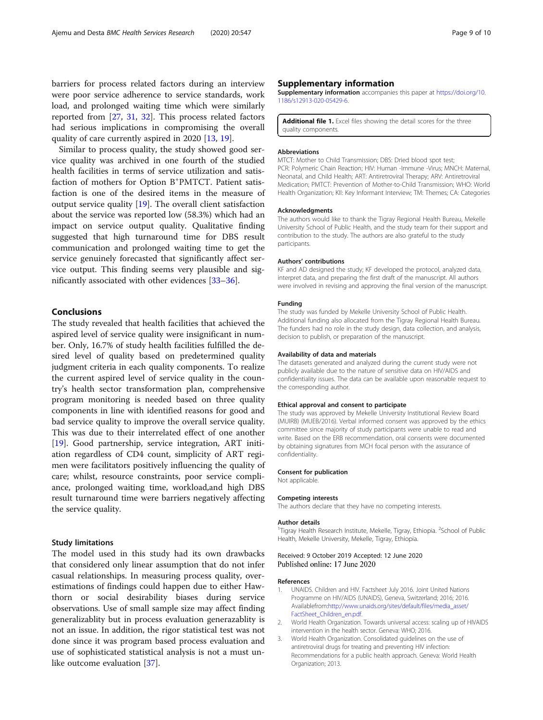<span id="page-8-0"></span>Similar to process quality, the study showed good service quality was archived in one fourth of the studied health facilities in terms of service utilization and satisfaction of mothers for Option B<sup>+</sup>PMTCT. Patient satisfaction is one of the desired items in the measure of output service quality [[19](#page-9-0)]. The overall client satisfaction about the service was reported low (58.3%) which had an impact on service output quality. Qualitative finding suggested that high turnaround time for DBS result communication and prolonged waiting time to get the service genuinely forecasted that significantly affect service output. This finding seems very plausible and significantly associated with other evidences [\[33](#page-9-0)–[36\]](#page-9-0).

# Conclusions

The study revealed that health facilities that achieved the aspired level of service quality were insignificant in number. Only, 16.7% of study health facilities fulfilled the desired level of quality based on predetermined quality judgment criteria in each quality components. To realize the current aspired level of service quality in the country's health sector transformation plan, comprehensive program monitoring is needed based on three quality components in line with identified reasons for good and bad service quality to improve the overall service quality. This was due to their interrelated effect of one another [[19\]](#page-9-0). Good partnership, service integration, ART initiation regardless of CD4 count, simplicity of ART regimen were facilitators positively influencing the quality of care; whilst, resource constraints, poor service compliance, prolonged waiting time, workload,and high DBS result turnaround time were barriers negatively affecting the service quality.

# Study limitations

The model used in this study had its own drawbacks that considered only linear assumption that do not infer casual relationships. In measuring process quality, overestimations of findings could happen due to either Hawthorn or social desirability biases during service observations. Use of small sample size may affect finding generalizablity but in process evaluation generazablity is not an issue. In addition, the rigor statistical test was not done since it was program based process evaluation and use of sophisticated statistical analysis is not a must unlike outcome evaluation [[37](#page-9-0)].

# Supplementary information

Supplementary information accompanies this paper at [https://doi.org/10.](https://doi.org/10.1186/s12913-020-05429-6) [1186/s12913-020-05429-6](https://doi.org/10.1186/s12913-020-05429-6).

Additional file 1. Excel files showing the detail scores for the three quality components.

### **Abbreviations**

MTCT: Mother to Child Transmission; DBS: Dried blood spot test; PCR: Polymeric Chain Reaction; HIV: Human -Immune -Virus; MNCH: Maternal, Neonatal, and Child Health; ART: Antiretroviral Therapy; ARV: Antiretroviral Medication; PMTCT: Prevention of Mother-to-Child Transmission; WHO: World Health Organization; KII: Key Informant Interview; TM: Themes; CA: Categories

#### Acknowledgments

The authors would like to thank the Tigray Regional Health Bureau, Mekelle University School of Public Health, and the study team for their support and contribution to the study. The authors are also grateful to the study participants.

#### Authors' contributions

KF and AD designed the study; KF developed the protocol, analyzed data, interpret data, and preparing the first draft of the manuscript. All authors were involved in revising and approving the final version of the manuscript.

#### Funding

The study was funded by Mekelle University School of Public Health. Additional funding also allocated from the Tigray Regional Health Bureau. The funders had no role in the study design, data collection, and analysis, decision to publish, or preparation of the manuscript.

#### Availability of data and materials

The datasets generated and analyzed during the current study were not publicly available due to the nature of sensitive data on HIV/AIDS and confidentiality issues. The data can be available upon reasonable request to the corresponding author.

#### Ethical approval and consent to participate

The study was approved by Mekelle University Institutional Review Board (MUIRB) (MUEB/2016). Verbal informed consent was approved by the ethics committee since majority of study participants were unable to read and write. Based on the ERB recommendation, oral consents were documented by obtaining signatures from MCH focal person with the assurance of confidentiality.

#### Consent for publication

Not applicable.

#### Competing interests

The authors declare that they have no competing interests.

#### Author details

<sup>1</sup>Tigray Health Research Institute, Mekelle, Tigray, Ethiopia. <sup>2</sup>School of Public Health, Mekelle University, Mekelle, Tigray, Ethiopia.

# Received: 9 October 2019 Accepted: 12 June 2020 Published online: 17 June 2020

### References

- 1. UNAIDS. Children and HIV. Factsheet July 2016. Joint United Nations Programme on HIV/AIDS (UNAIDS), Geneva, Switzerland; 2016; 2016. Availablefrom:[http://www.unaids.org/sites/default/files/media\\_asset/](http://www.unaids.org/sites/default/files/media_asset/FactSheet_Children_en.pdf) [FactSheet\\_Children\\_en.pdf](http://www.unaids.org/sites/default/files/media_asset/FactSheet_Children_en.pdf).
- 2. World Health Organization. Towards universal access: scaling up of HIVAIDS intervention in the health sector. Geneva: WHO; 2016.
- 3. World Health Organization. Consolidated guidelines on the use of antiretroviral drugs for treating and preventing HIV infection: Recommendations for a public health approach. Geneva: World Health Organization; 2013.